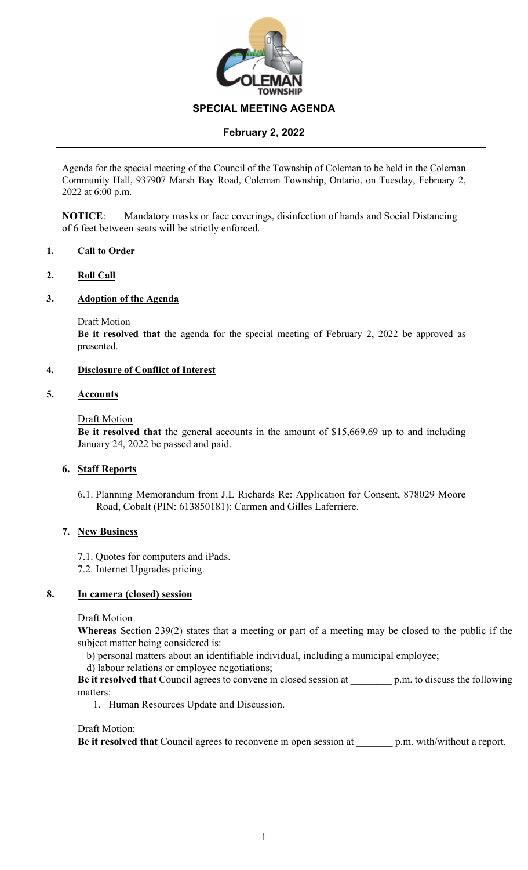

# **February 2, 2022**

Agenda for the special meeting of the Council of the Township of Coleman to be held in the Coleman Community Hall, 937907 Marsh Bay Road, Coleman Township, Ontario, on Tuesday, February 2, 2022 at 6:00 p.m.

**NOTICE**: Mandatory masks or face coverings, disinfection of hands and Social Distancing of 6 feet between seats will be strictly enforced.

# **1. Call to Order**

## **2. Roll Call**

## **3. Adoption of the Agenda**

# Draft Motion

**Be it resolved that** the agenda for the special meeting of February 2, 2022 be approved as presented.

## **4. Disclosure of Conflict of Interest**

## **5. Accounts**

## Draft Motion

**Be it resolved that** the general accounts in the amount of \$15,669.69 up to and including January 24, 2022 be passed and paid.

# **6. Staff Reports**

6.1. Planning Memorandum from J.L Richards Re: Application for Consent, 878029 Moore Road, Cobalt (PIN: 613850181): Carmen and Gilles Laferriere.

# **7. New Business**

- 7.1. Quotes for computers and iPads.
- 7.2. Internet Upgrades pricing.

#### **8. In camera (closed) session**

#### Draft Motion

**Whereas** Section 239(2) states that a meeting or part of a meeting may be closed to the public if the subject matter being considered is:

- b) personal matters about an identifiable individual, including a municipal employee;
- d) labour relations or employee negotiations;

**Be it resolved that** Council agrees to convene in closed session at \_\_\_\_\_\_\_\_ p.m. to discuss the following matters:

1. Human Resources Update and Discussion.

#### Draft Motion:

**Be it resolved that** Council agrees to reconvene in open session at p.m. with/without a report.